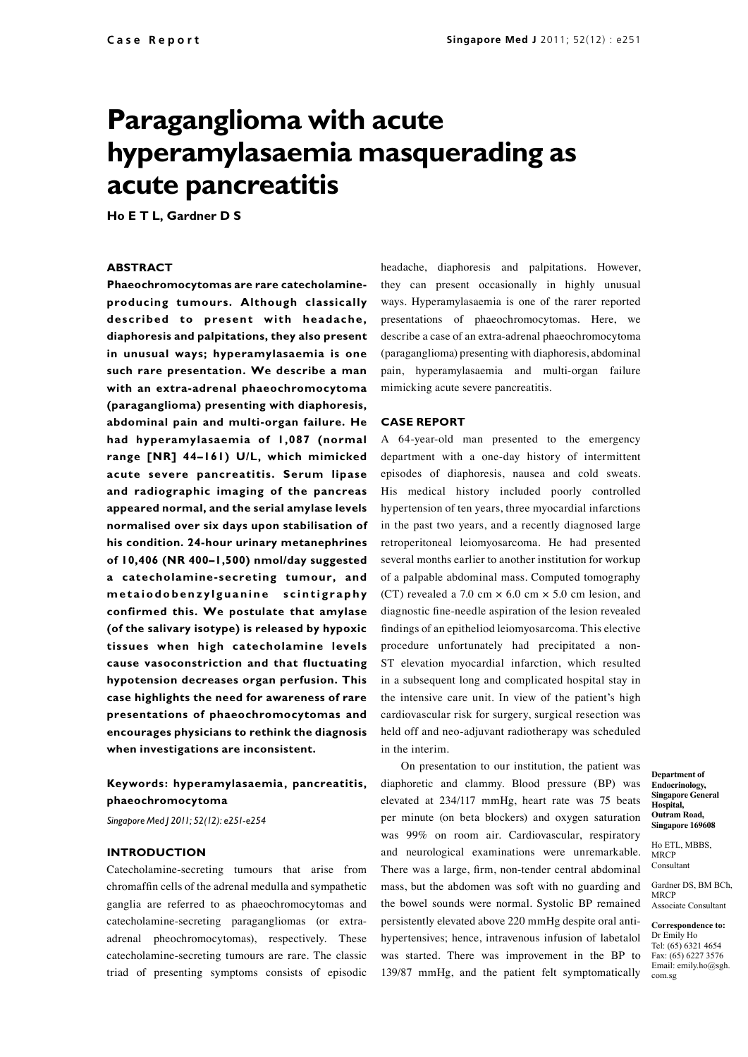# **Paraganglioma with acute hyperamylasaemia masquerading as acute pancreatitis**

**Ho E T L, Gardner D S**

#### **ABSTRACT**

**Phaeochromocytomas are rare catecholamineproducing tumours. Although classically described to present with headache, diaphoresis and palpitations, they also present in unusual ways; hyperamylasaemia is one such rare presentation. We describe a man with an extra-adrenal phaeochromocytoma (paraganglioma) presenting with diaphoresis, abdominal pain and multi-organ failure. He had hyperamylasaemia of 1,087 (normal range [NR] 44–161) U/L, which mimicked acute severe pancreatitis. Serum lipase and radiographic imaging of the pancreas appeared normal, and the serial amylase levels normalised over six days upon stabilisation of his condition. 24-hour urinary metanephrines of 10,406 (NR 400–1,500) nmol/day suggested a catecholamine-secreting tumour, and m e t a i o d o b e n z y l g u a n i n e s c i n t i g r a p h y confirmed this. We postulate that amylase (of the salivary isotype) is released by hypoxic tissues when high catecholamine levels cause vasoconstriction and that fluctuating hypotension decreases organ perfusion. This case highlights the need for awareness of rare presentations of phaeochromocytomas and encourages physicians to rethink the diagnosis when investigations are inconsistent.**

## **Keywords: hyperamylasaemia, pancreatitis, phaeochromocytoma**

*Singapore Med J 2011; 52(12): e251-e254*

### **Introduction**

Catecholamine-secreting tumours that arise from chromaffin cells of the adrenal medulla and sympathetic ganglia are referred to as phaeochromocytomas and catecholamine-secreting paragangliomas (or extraadrenal pheochromocytomas), respectively. These catecholamine-secreting tumours are rare. The classic triad of presenting symptoms consists of episodic

headache, diaphoresis and palpitations. However, they can present occasionally in highly unusual ways. Hyperamylasaemia is one of the rarer reported presentations of phaeochromocytomas. Here, we describe a case of an extra-adrenal phaeochromocytoma (paraganglioma) presenting with diaphoresis, abdominal pain, hyperamylasaemia and multi-organ failure mimicking acute severe pancreatitis.

#### **Case report**

A 64-year-old man presented to the emergency department with a one-day history of intermittent episodes of diaphoresis, nausea and cold sweats. His medical history included poorly controlled hypertension of ten years, three myocardial infarctions in the past two years, and a recently diagnosed large retroperitoneal leiomyosarcoma. He had presented several months earlier to another institution for workup of a palpable abdominal mass. Computed tomography (CT) revealed a 7.0 cm  $\times$  6.0 cm  $\times$  5.0 cm lesion, and diagnostic fine-needle aspiration of the lesion revealed findings of an epitheliod leiomyosarcoma. This elective procedure unfortunately had precipitated a non-ST elevation myocardial infarction, which resulted in a subsequent long and complicated hospital stay in the intensive care unit. In view of the patient's high cardiovascular risk for surgery, surgical resection was held off and neo-adjuvant radiotherapy was scheduled in the interim.

On presentation to our institution, the patient was diaphoretic and clammy. Blood pressure (BP) was elevated at 234/117 mmHg, heart rate was 75 beats per minute (on beta blockers) and oxygen saturation was 99% on room air. Cardiovascular, respiratory and neurological examinations were unremarkable. There was a large, firm, non-tender central abdominal mass, but the abdomen was soft with no guarding and the bowel sounds were normal. Systolic BP remained persistently elevated above 220 mmHg despite oral antihypertensives; hence, intravenous infusion of labetalol was started. There was improvement in the BP to 139/87 mmHg, and the patient felt symptomatically

**Department of Endocrinology, Singapore General Hospital, Outram Road, Singapore 169608**

Ho ETL, MBBS, **MRCP** Consultant

Gardner DS, BM BCh, **MRCP** Associate Consultant

**Correspondence to:**  Dr Emily Ho Tel: (65) 6321 4654 Fax: (65) 6227 3576 Email: emily.ho@sgh. com.sg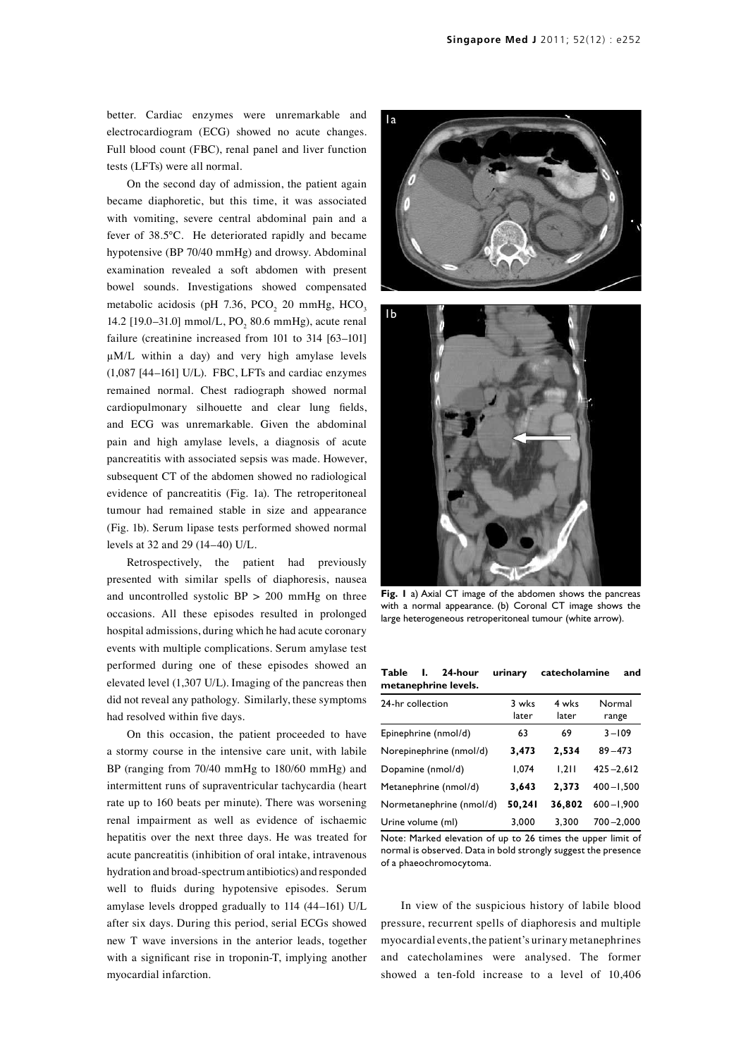better. Cardiac enzymes were unremarkable and electrocardiogram (ECG) showed no acute changes. Full blood count (FBC), renal panel and liver function tests (LFTs) were all normal.

On the second day of admission, the patient again became diaphoretic, but this time, it was associated with vomiting, severe central abdominal pain and a fever of 38.5°C. He deteriorated rapidly and became hypotensive (BP 70/40 mmHg) and drowsy. Abdominal examination revealed a soft abdomen with present bowel sounds. Investigations showed compensated metabolic acidosis (pH 7.36,  $PCO<sub>2</sub>$  20 mmHg,  $HCO<sub>3</sub>$ 14.2 [19.0–31.0] mmol/L,  $PO_2$  80.6 mmHg), acute renal failure (creatinine increased from 101 to 314 [63-101] µM/L within a day) and very high amylase levels (1,087 [44–161] U/L). FBC, LFTs and cardiac enzymes remained normal. Chest radiograph showed normal cardiopulmonary silhouette and clear lung fields, and ECG was unremarkable. Given the abdominal pain and high amylase levels, a diagnosis of acute pancreatitis with associated sepsis was made. However, subsequent CT of the abdomen showed no radiological evidence of pancreatitis (Fig. 1a). The retroperitoneal tumour had remained stable in size and appearance (Fig. 1b). Serum lipase tests performed showed normal levels at 32 and 29 (14–40) U/L.

Retrospectively, the patient had previously presented with similar spells of diaphoresis, nausea and uncontrolled systolic  $BP > 200$  mmHg on three occasions. All these episodes resulted in prolonged hospital admissions, during which he had acute coronary events with multiple complications. Serum amylase test performed during one of these episodes showed an elevated level (1,307 U/L). Imaging of the pancreas then did not reveal any pathology. Similarly, these symptoms had resolved within five days.

On this occasion, the patient proceeded to have a stormy course in the intensive care unit, with labile BP (ranging from 70/40 mmHg to 180/60 mmHg) and intermittent runs of supraventricular tachycardia (heart rate up to 160 beats per minute). There was worsening renal impairment as well as evidence of ischaemic hepatitis over the next three days. He was treated for acute pancreatitis (inhibition of oral intake, intravenous hydration and broad-spectrum antibiotics) and responded well to fluids during hypotensive episodes. Serum amylase levels dropped gradually to 114 (44–161) U/L after six days. During this period, serial ECGs showed new T wave inversions in the anterior leads, together with a significant rise in troponin-T, implying another myocardial infarction.





**Fig. 1** a) Axial CT image of the abdomen shows the pancreas with a normal appearance. (b) Coronal CT image shows the large heterogeneous retroperitoneal tumour (white arrow).

|  |                      | Table I. 24-hour urinary catecholamine and |  |
|--|----------------------|--------------------------------------------|--|
|  | metanephrine levels. |                                            |  |

| 24-hr collection         | 3 wks<br>later | 4 wks<br>later | Normal<br>range |
|--------------------------|----------------|----------------|-----------------|
| Epinephrine (nmol/d)     | 63             | 69             | $3 - 109$       |
| Norepinephrine (nmol/d)  | 3,473          | 2,534          | $89 - 473$      |
| Dopamine (nmol/d)        | 1.074          | 1.211          | $425 - 2,612$   |
| Metanephrine (nmol/d)    | 3,643          | 2,373          | $400 - 1.500$   |
| Normetanephrine (nmol/d) | 50,241         | 36,802         | $600 - 1.900$   |
| Urine volume (ml)        | 3,000          | 3.300          | $700 - 2.000$   |

Note: Marked elevation of up to 26 times the upper limit of normal is observed. Data in bold strongly suggest the presence of a phaeochromocytoma.

In view of the suspicious history of labile blood pressure, recurrent spells of diaphoresis and multiple myocardial events, the patient's urinary metanephrines and catecholamines were analysed. The former showed a ten-fold increase to a level of 10,406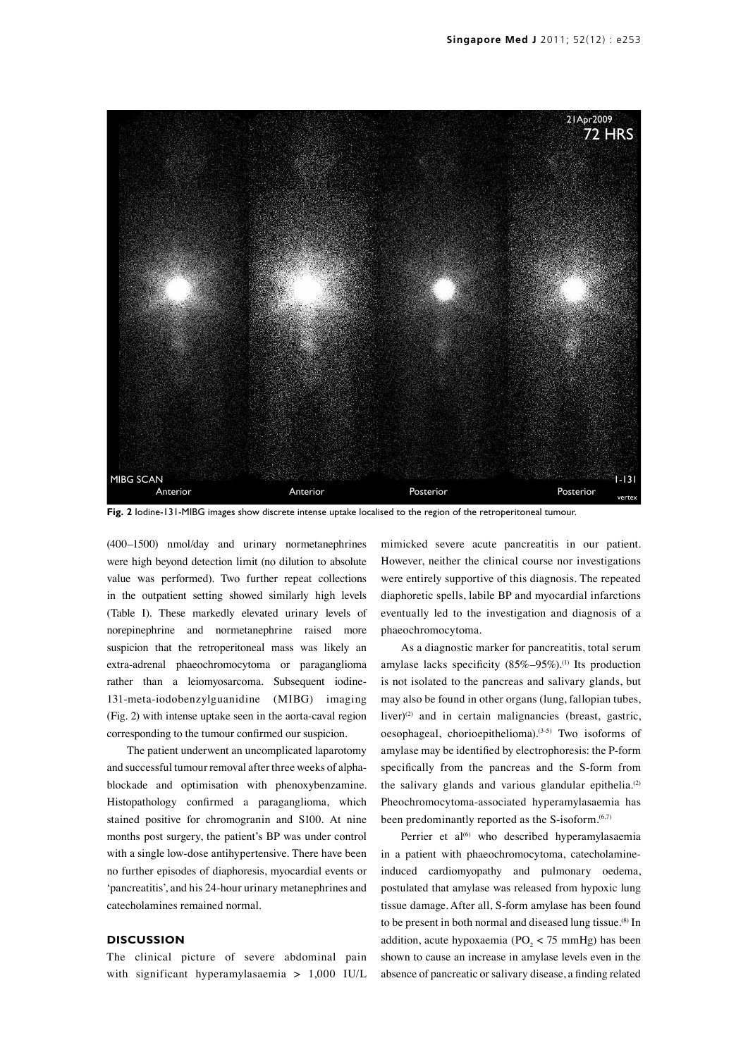

**Fig. 2** Iodine-131-MIBG images show discrete intense uptake localised to the region of the retroperitoneal tumour.

(400–1500) nmol/day and urinary normetanephrines were high beyond detection limit (no dilution to absolute value was performed). Two further repeat collections in the outpatient setting showed similarly high levels (Table I). These markedly elevated urinary levels of norepinephrine and normetanephrine raised more suspicion that the retroperitoneal mass was likely an extra-adrenal phaeochromocytoma or paraganglioma rather than a leiomyosarcoma. Subsequent iodine-131-meta-iodobenzylguanidine (MIBG) imaging (Fig. 2) with intense uptake seen in the aorta-caval region corresponding to the tumour confirmed our suspicion.

The patient underwent an uncomplicated laparotomy and successful tumour removal after three weeks of alphablockade and optimisation with phenoxybenzamine. Histopathology confirmed a paraganglioma, which stained positive for chromogranin and S100. At nine months post surgery, the patient's BP was under control with a single low-dose antihypertensive. There have been no further episodes of diaphoresis, myocardial events or 'pancreatitis', and his 24-hour urinary metanephrines and catecholamines remained normal.

### **Discussion**

The clinical picture of severe abdominal pain with significant hyperamylasaemia > 1,000 IU/L

mimicked severe acute pancreatitis in our patient. However, neither the clinical course nor investigations were entirely supportive of this diagnosis. The repeated diaphoretic spells, labile BP and myocardial infarctions eventually led to the investigation and diagnosis of a phaeochromocytoma.

As a diagnostic marker for pancreatitis, total serum amylase lacks specificity  $(85\% - 95\%)$ .<sup>(1)</sup> Its production is not isolated to the pancreas and salivary glands, but may also be found in other organs (lung, fallopian tubes, liver)<sup>(2)</sup> and in certain malignancies (breast, gastric, oesophageal, chorioepithelioma).(3-5) Two isoforms of amylase may be identified by electrophoresis: the P-form specifically from the pancreas and the S-form from the salivary glands and various glandular epithelia.<sup>(2)</sup> Pheochromocytoma-associated hyperamylasaemia has been predominantly reported as the  $S$ -isoform.<sup> $(6,7)$ </sup>

Perrier et al<sup>(6)</sup> who described hyperamylasaemia in a patient with phaeochromocytoma, catecholamineinduced cardiomyopathy and pulmonary oedema, postulated that amylase was released from hypoxic lung tissue damage. After all, S-form amylase has been found to be present in both normal and diseased lung tissue.<sup>(8)</sup> In addition, acute hypoxaemia ( $PO_2 < 75$  mmHg) has been shown to cause an increase in amylase levels even in the absence of pancreatic or salivary disease, a finding related